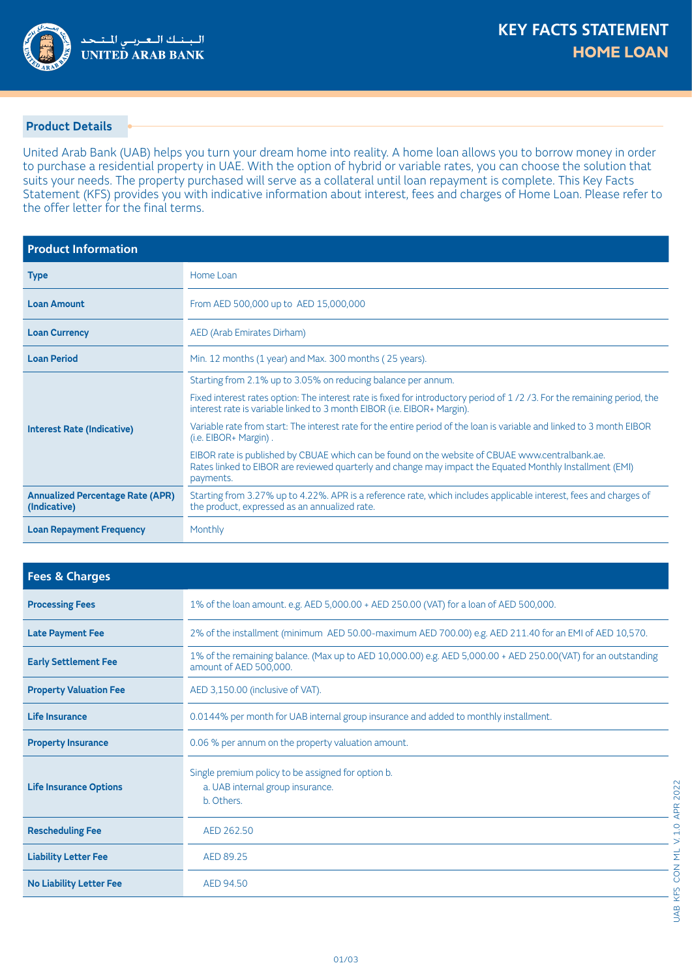

## **Product Details**

United Arab Bank (UAB) helps you turn your dream home into reality. A home loan allows you to borrow money in order to purchase a residential property in UAE. With the option of hybrid or variable rates, you can choose the solution that suits your needs. The property purchased will serve as a collateral until loan repayment is complete. This Key Facts Statement (KFS) provides you with indicative information about interest, fees and charges of Home Loan. Please refer to the offer letter for the final terms.

## **Product Information**

| <b>Type</b>                                             | Home Loan                                                                                                                                                                                                                |  |  |  |
|---------------------------------------------------------|--------------------------------------------------------------------------------------------------------------------------------------------------------------------------------------------------------------------------|--|--|--|
| <b>Loan Amount</b>                                      | From AED 500,000 up to AED 15,000,000                                                                                                                                                                                    |  |  |  |
| <b>Loan Currency</b>                                    | AED (Arab Emirates Dirham)                                                                                                                                                                                               |  |  |  |
| <b>Loan Period</b>                                      | Min. 12 months (1 year) and Max. 300 months (25 years).                                                                                                                                                                  |  |  |  |
|                                                         | Starting from 2.1% up to 3.05% on reducing balance per annum.                                                                                                                                                            |  |  |  |
|                                                         | Fixed interest rates option: The interest rate is fixed for introductory period of 1/2/3. For the remaining period, the<br>interest rate is variable linked to 3 month EIBOR (i.e. EIBOR+ Margin).                       |  |  |  |
| <b>Interest Rate (Indicative)</b>                       | Variable rate from start: The interest rate for the entire period of the loan is variable and linked to 3 month EIBOR<br>(i.e. EIBOR+ Margin).                                                                           |  |  |  |
|                                                         | EIBOR rate is published by CBUAE which can be found on the website of CBUAE www.centralbank.ae.<br>Rates linked to EIBOR are reviewed quarterly and change may impact the Equated Monthly Installment (EMI)<br>payments. |  |  |  |
| <b>Annualized Percentage Rate (APR)</b><br>(Indicative) | Starting from 3.27% up to 4.22%. APR is a reference rate, which includes applicable interest, fees and charges of<br>the product, expressed as an annualized rate.                                                       |  |  |  |
| <b>Loan Repayment Frequency</b>                         | Monthly                                                                                                                                                                                                                  |  |  |  |

| <b>Fees &amp; Charges</b>      |                                                                                                                                         |  |  |  |
|--------------------------------|-----------------------------------------------------------------------------------------------------------------------------------------|--|--|--|
| <b>Processing Fees</b>         | 1% of the loan amount. e.g. AED 5,000.00 + AED 250.00 (VAT) for a loan of AED 500,000.                                                  |  |  |  |
| <b>Late Payment Fee</b>        | 2% of the installment (minimum AED 50.00-maximum AED 700.00) e.g. AED 211.40 for an EMI of AED 10,570.                                  |  |  |  |
| <b>Early Settlement Fee</b>    | 1% of the remaining balance. (Max up to AED 10,000.00) e.g. AED 5,000.00 + AED 250.00(VAT) for an outstanding<br>amount of AED 500,000. |  |  |  |
| <b>Property Valuation Fee</b>  | AED 3,150.00 (inclusive of VAT).                                                                                                        |  |  |  |
| <b>Life Insurance</b>          | 0.0144% per month for UAB internal group insurance and added to monthly installment.                                                    |  |  |  |
| <b>Property Insurance</b>      | 0.06 % per annum on the property valuation amount.                                                                                      |  |  |  |
| <b>Life Insurance Options</b>  | Single premium policy to be assigned for option b.<br>a. UAB internal group insurance.<br>b. Others.                                    |  |  |  |
| <b>Rescheduling Fee</b>        | AED 262.50                                                                                                                              |  |  |  |
| <b>Liability Letter Fee</b>    | AED 89.25                                                                                                                               |  |  |  |
| <b>No Liability Letter Fee</b> | AED 94.50                                                                                                                               |  |  |  |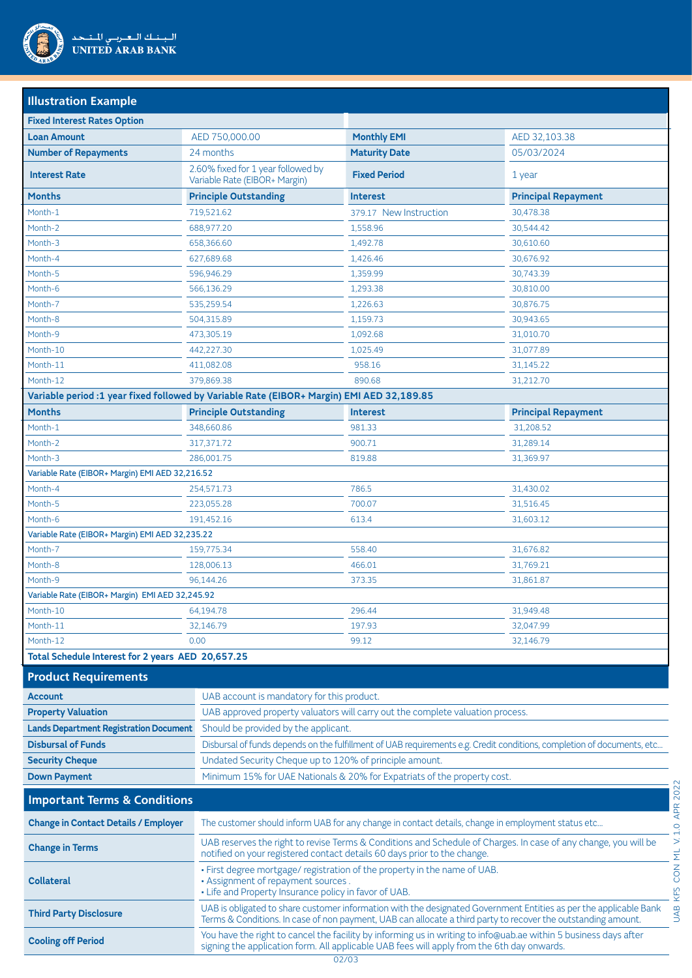

| <b>Illustration Example</b>                                                               |                                                                                                                                                                                                                                    |                                                                                                   |                            |  |  |  |
|-------------------------------------------------------------------------------------------|------------------------------------------------------------------------------------------------------------------------------------------------------------------------------------------------------------------------------------|---------------------------------------------------------------------------------------------------|----------------------------|--|--|--|
| <b>Fixed Interest Rates Option</b>                                                        |                                                                                                                                                                                                                                    |                                                                                                   |                            |  |  |  |
| <b>Loan Amount</b>                                                                        | AED 750,000.00                                                                                                                                                                                                                     | <b>Monthly EMI</b>                                                                                | AED 32,103.38              |  |  |  |
| <b>Number of Repayments</b>                                                               | 24 months                                                                                                                                                                                                                          | <b>Maturity Date</b>                                                                              | 05/03/2024                 |  |  |  |
| <b>Interest Rate</b>                                                                      | 2.60% fixed for 1 year followed by<br>Variable Rate (EIBOR+ Margin)                                                                                                                                                                | <b>Fixed Period</b>                                                                               | 1 year                     |  |  |  |
| <b>Months</b>                                                                             | <b>Principle Outstanding</b>                                                                                                                                                                                                       | <b>Interest</b>                                                                                   | <b>Principal Repayment</b> |  |  |  |
| Month-1                                                                                   | 719,521.62                                                                                                                                                                                                                         | 379.17 New Instruction                                                                            | 30,478.38                  |  |  |  |
| Month-2                                                                                   | 688,977.20                                                                                                                                                                                                                         | 1,558.96                                                                                          | 30,544.42                  |  |  |  |
| Month-3                                                                                   | 658,366.60                                                                                                                                                                                                                         | 1,492.78                                                                                          | 30,610.60                  |  |  |  |
| Month-4                                                                                   | 627,689.68                                                                                                                                                                                                                         | 1,426.46                                                                                          | 30,676.92                  |  |  |  |
| Month-5                                                                                   | 596,946.29                                                                                                                                                                                                                         | 1,359.99                                                                                          | 30,743.39                  |  |  |  |
| Month-6                                                                                   | 566,136.29                                                                                                                                                                                                                         | 1,293.38                                                                                          | 30,810.00                  |  |  |  |
| Month-7                                                                                   | 535,259.54                                                                                                                                                                                                                         | 1,226.63                                                                                          | 30,876.75                  |  |  |  |
| Month-8                                                                                   | 504,315.89                                                                                                                                                                                                                         | 1,159.73                                                                                          | 30,943.65                  |  |  |  |
| Month-9                                                                                   | 473,305.19                                                                                                                                                                                                                         | 1,092.68                                                                                          | 31,010.70                  |  |  |  |
| Month-10                                                                                  | 442,227.30                                                                                                                                                                                                                         | 1,025.49                                                                                          | 31,077.89                  |  |  |  |
| Month-11                                                                                  | 411,082.08                                                                                                                                                                                                                         | 958.16                                                                                            | 31,145.22                  |  |  |  |
| Month-12                                                                                  | 379,869.38                                                                                                                                                                                                                         | 890.68                                                                                            | 31,212.70                  |  |  |  |
| Variable period :1 year fixed followed by Variable Rate (EIBOR+ Margin) EMI AED 32,189.85 |                                                                                                                                                                                                                                    |                                                                                                   |                            |  |  |  |
| <b>Months</b>                                                                             | <b>Principle Outstanding</b>                                                                                                                                                                                                       | <b>Interest</b>                                                                                   | <b>Principal Repayment</b> |  |  |  |
| Month-1                                                                                   | 348,660.86                                                                                                                                                                                                                         | 981.33                                                                                            | 31,208.52                  |  |  |  |
| Month-2                                                                                   | 317,371.72                                                                                                                                                                                                                         | 900.71                                                                                            | 31,289.14                  |  |  |  |
| Month-3                                                                                   | 286,001.75                                                                                                                                                                                                                         | 819.88                                                                                            | 31,369.97                  |  |  |  |
| Variable Rate (EIBOR+ Margin) EMI AED 32,216.52                                           |                                                                                                                                                                                                                                    |                                                                                                   |                            |  |  |  |
| Month-4                                                                                   | 254,571.73                                                                                                                                                                                                                         | 786.5                                                                                             | 31,430.02                  |  |  |  |
| Month-5                                                                                   | 223,055.28                                                                                                                                                                                                                         | 700.07                                                                                            | 31,516.45                  |  |  |  |
| Month-6                                                                                   | 191,452.16                                                                                                                                                                                                                         | 613.4                                                                                             | 31,603.12                  |  |  |  |
| Variable Rate (EIBOR+ Margin) EMI AED 32,235.22                                           |                                                                                                                                                                                                                                    |                                                                                                   |                            |  |  |  |
| Month-7                                                                                   | 159,775.34                                                                                                                                                                                                                         | 558.40                                                                                            | 31,676.82                  |  |  |  |
| Month-8                                                                                   | 128,006.13                                                                                                                                                                                                                         | 466.01                                                                                            | 31,769.21                  |  |  |  |
| Month-9                                                                                   | 96,144.26                                                                                                                                                                                                                          | 373.35                                                                                            | 31,861.87                  |  |  |  |
| Variable Rate (EIBOR+ Margin) EMI AED 32,245.92                                           |                                                                                                                                                                                                                                    |                                                                                                   |                            |  |  |  |
| Month-10                                                                                  | 64,194.78                                                                                                                                                                                                                          | 296.44                                                                                            | 31,949.48                  |  |  |  |
| Month-11                                                                                  | 32,146.79                                                                                                                                                                                                                          | 197.93                                                                                            | 32,047.99                  |  |  |  |
| Month-12                                                                                  | 0.00<br>32,146.79<br>99.12                                                                                                                                                                                                         |                                                                                                   |                            |  |  |  |
| Total Schedule Interest for 2 years AED 20,657.25                                         |                                                                                                                                                                                                                                    |                                                                                                   |                            |  |  |  |
| <b>Product Requirements</b>                                                               |                                                                                                                                                                                                                                    |                                                                                                   |                            |  |  |  |
| <b>Account</b>                                                                            |                                                                                                                                                                                                                                    | UAB account is mandatory for this product.                                                        |                            |  |  |  |
| <b>Property Valuation</b>                                                                 | UAB approved property valuators will carry out the complete valuation process.                                                                                                                                                     |                                                                                                   |                            |  |  |  |
| <b>Lands Department Registration Document</b>                                             | Should be provided by the applicant.                                                                                                                                                                                               |                                                                                                   |                            |  |  |  |
| <b>Disbursal of Funds</b>                                                                 | Disbursal of funds depends on the fulfillment of UAB requirements e.g. Credit conditions, completion of documents, etc                                                                                                             |                                                                                                   |                            |  |  |  |
| <b>Security Cheque</b>                                                                    | Undated Security Cheque up to 120% of principle amount.                                                                                                                                                                            |                                                                                                   |                            |  |  |  |
| <b>Down Payment</b>                                                                       | Minimum 15% for UAE Nationals & 20% for Expatriats of the property cost.                                                                                                                                                           |                                                                                                   |                            |  |  |  |
|                                                                                           |                                                                                                                                                                                                                                    |                                                                                                   |                            |  |  |  |
| <b>Important Terms &amp; Conditions</b>                                                   |                                                                                                                                                                                                                                    |                                                                                                   |                            |  |  |  |
| <b>Change in Contact Details / Employer</b>                                               |                                                                                                                                                                                                                                    | The customer should inform UAB for any change in contact details, change in employment status etc |                            |  |  |  |
| <b>Change in Terms</b>                                                                    | UAB reserves the right to revise Terms & Conditions and Schedule of Charges. In case of any change, you will be<br>notified on your registered contact details 60 days prior to the change.                                        |                                                                                                   |                            |  |  |  |
| <b>Collateral</b>                                                                         | · First degree mortgage/ registration of the property in the name of UAB.<br>· Assignment of repayment sources.<br>. Life and Property Insurance policy in favor of UAB.                                                           |                                                                                                   |                            |  |  |  |
| <b>Third Party Disclosure</b>                                                             | UAB is obligated to share customer information with the designated Government Entities as per the applicable Bank<br>Terms & Conditions. In case of non payment, UAB can allocate a third party to recover the outstanding amount. |                                                                                                   |                            |  |  |  |
| <b>Cooling off Period</b>                                                                 | You have the right to cancel the facility by informing us in writing to info@uab.ae within 5 business days after<br>a the application form All applicable LIAR foot will apply from the 6th day opwards                            |                                                                                                   |                            |  |  |  |

signing the application form. All applicable UAB fees will apply from the 6th day onwards.